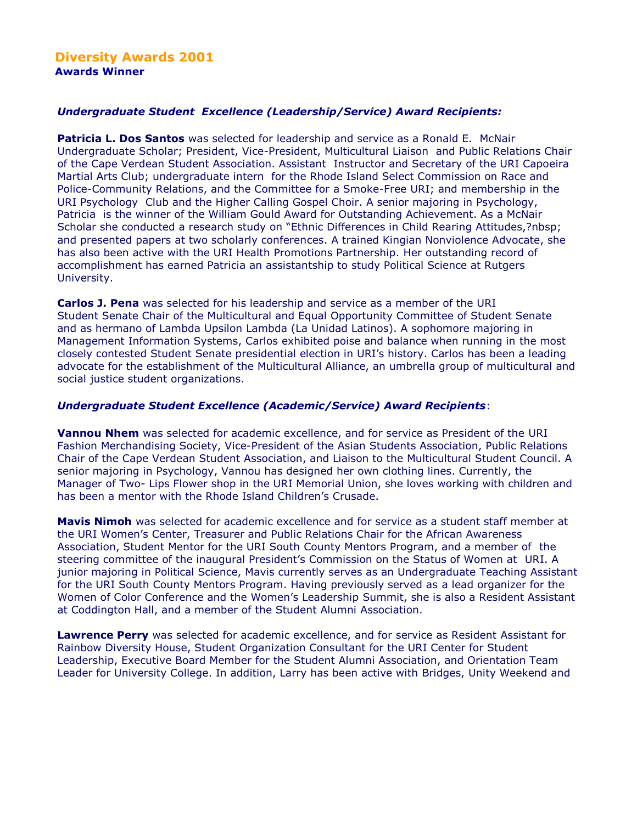# *Undergraduate Student Excellence (Leadership/Service) Award Recipients:*

**Patricia L. Dos Santos** was selected for leadership and service as a Ronald E. McNair Undergraduate Scholar; President, Vice-President, Multicultural Liaison and Public Relations Chair of the Cape Verdean Student Association. Assistant Instructor and Secretary of the URI Capoeira Martial Arts Club; undergraduate intern for the Rhode Island Select Commission on Race and Police-Community Relations, and the Committee for a Smoke-Free URI; and membership in the URI Psychology Club and the Higher Calling Gospel Choir. A senior majoring in Psychology, Patricia is the winner of the William Gould Award for Outstanding Achievement. As a McNair Scholar she conducted a research study on "Ethnic Differences in Child Rearing Attitudes,?nbsp; and presented papers at two scholarly conferences. A trained Kingian Nonviolence Advocate, she has also been active with the URI Health Promotions Partnership. Her outstanding record of accomplishment has earned Patricia an assistantship to study Political Science at Rutgers University.

**Carlos J. Pena** was selected for his leadership and service as a member of the URI Student Senate Chair of the Multicultural and Equal Opportunity Committee of Student Senate and as hermano of Lambda Upsilon Lambda (La Unidad Latinos). A sophomore majoring in Management Information Systems, Carlos exhibited poise and balance when running in the most closely contested Student Senate presidential election in URI's history. Carlos has been a leading advocate for the establishment of the Multicultural Alliance, an umbrella group of multicultural and social justice student organizations.

### *Undergraduate Student Excellence (Academic/Service) Award Recipients*:

**Vannou Nhem** was selected for academic excellence, and for service as President of the URI Fashion Merchandising Society, Vice-President of the Asian Students Association, Public Relations Chair of the Cape Verdean Student Association, and Liaison to the Multicultural Student Council. A senior majoring in Psychology, Vannou has designed her own clothing lines. Currently, the Manager of Two- Lips Flower shop in the URI Memorial Union, she loves working with children and has been a mentor with the Rhode Island Children's Crusade.

**Mavis Nimoh** was selected for academic excellence and for service as a student staff member at the URI Women's Center, Treasurer and Public Relations Chair for the African Awareness Association, Student Mentor for the URI South County Mentors Program, and a member of the steering committee of the inaugural President's Commission on the Status of Women at URI. A junior majoring in Political Science, Mavis currently serves as an Undergraduate Teaching Assistant for the URI South County Mentors Program. Having previously served as a lead organizer for the Women of Color Conference and the Women's Leadership Summit, she is also a Resident Assistant at Coddington Hall, and a member of the Student Alumni Association.

**Lawrence Perry** was selected for academic excellence, and for service as Resident Assistant for Rainbow Diversity House, Student Organization Consultant for the URI Center for Student Leadership, Executive Board Member for the Student Alumni Association, and Orientation Team Leader for University College. In addition, Larry has been active with Bridges, Unity Weekend and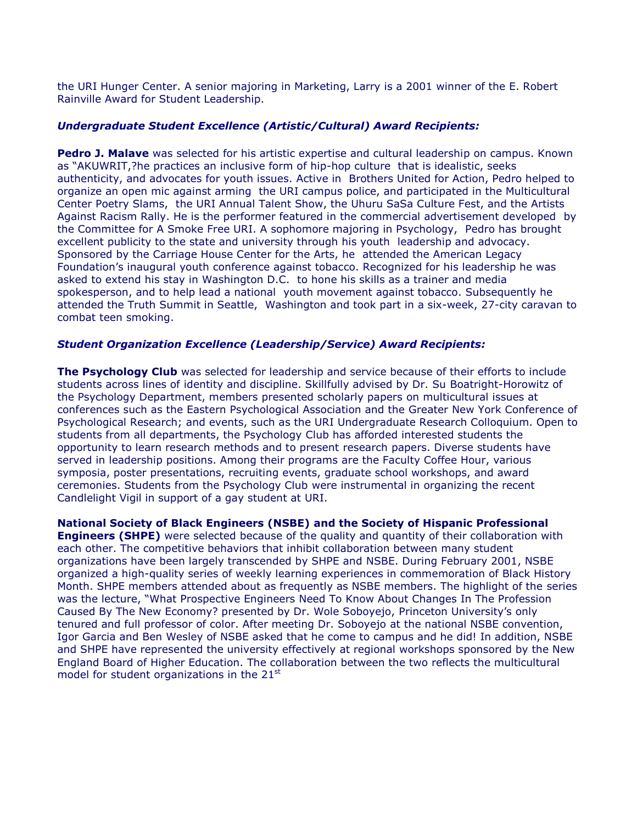the URI Hunger Center. A senior majoring in Marketing, Larry is a 2001 winner of the E. Robert Rainville Award for Student Leadership.

## *Undergraduate Student Excellence (Artistic/Cultural) Award Recipients:*

**Pedro J. Malave** was selected for his artistic expertise and cultural leadership on campus. Known as "AKUWRIT,?he practices an inclusive form of hip-hop culture that is idealistic, seeks authenticity, and advocates for youth issues. Active in Brothers United for Action, Pedro helped to organize an open mic against arming the URI campus police, and participated in the Multicultural Center Poetry Slams, the URI Annual Talent Show, the Uhuru SaSa Culture Fest, and the Artists Against Racism Rally. He is the performer featured in the commercial advertisement developed by the Committee for A Smoke Free URI. A sophomore majoring in Psychology, Pedro has brought excellent publicity to the state and university through his youth leadership and advocacy. Sponsored by the Carriage House Center for the Arts, he attended the American Legacy Foundation's inaugural youth conference against tobacco. Recognized for his leadership he was asked to extend his stay in Washington D.C. to hone his skills as a trainer and media spokesperson, and to help lead a national youth movement against tobacco. Subsequently he attended the Truth Summit in Seattle, Washington and took part in a six-week, 27-city caravan to combat teen smoking.

### *Student Organization Excellence (Leadership/Service) Award Recipients:*

**The Psychology Club** was selected for leadership and service because of their efforts to include students across lines of identity and discipline. Skillfully advised by Dr. Su Boatright-Horowitz of the Psychology Department, members presented scholarly papers on multicultural issues at conferences such as the Eastern Psychological Association and the Greater New York Conference of Psychological Research; and events, such as the URI Undergraduate Research Colloquium. Open to students from all departments, the Psychology Club has afforded interested students the opportunity to learn research methods and to present research papers. Diverse students have served in leadership positions. Among their programs are the Faculty Coffee Hour, various symposia, poster presentations, recruiting events, graduate school workshops, and award ceremonies. Students from the Psychology Club were instrumental in organizing the recent Candlelight Vigil in support of a gay student at URI.

**National Society of Black Engineers (NSBE) and the Society of Hispanic Professional Engineers (SHPE)** were selected because of the quality and quantity of their collaboration with each other. The competitive behaviors that inhibit collaboration between many student organizations have been largely transcended by SHPE and NSBE. During February 2001, NSBE organized a high-quality series of weekly learning experiences in commemoration of Black History Month. SHPE members attended about as frequently as NSBE members. The highlight of the series was the lecture, "What Prospective Engineers Need To Know About Changes In The Profession Caused By The New Economy? presented by Dr. Wole Soboyejo, Princeton University's only tenured and full professor of color. After meeting Dr. Soboyejo at the national NSBE convention, Igor Garcia and Ben Wesley of NSBE asked that he come to campus and he did! In addition, NSBE and SHPE have represented the university effectively at regional workshops sponsored by the New England Board of Higher Education. The collaboration between the two reflects the multicultural model for student organizations in the  $21<sup>st</sup>$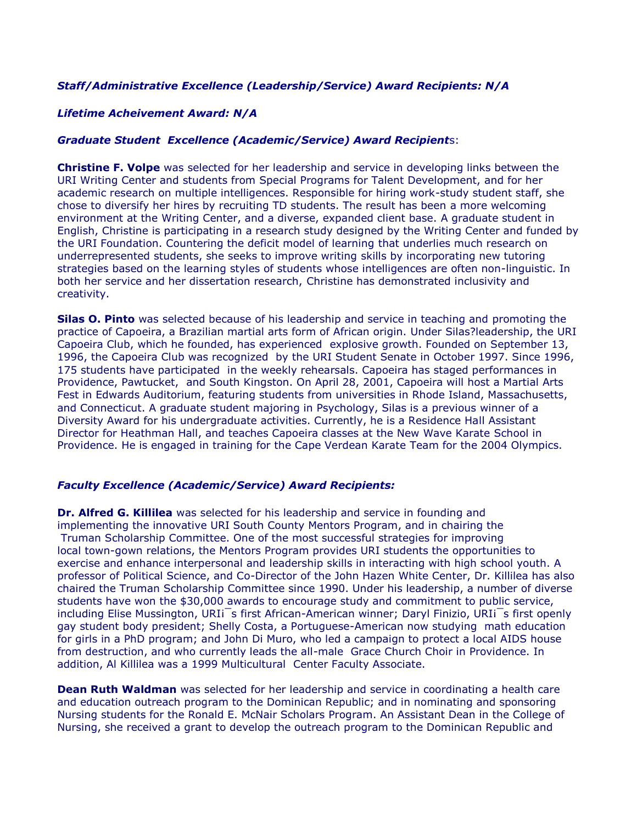# *Staff/Administrative Excellence (Leadership/Service) Award Recipients: N/A*

### *Lifetime Acheivement Award: N/A*

### *Graduate Student Excellence (Academic/Service) Award Recipient*s:

**Christine F. Volpe** was selected for her leadership and service in developing links between the URI Writing Center and students from Special Programs for Talent Development, and for her academic research on multiple intelligences. Responsible for hiring work-study student staff, she chose to diversify her hires by recruiting TD students. The result has been a more welcoming environment at the Writing Center, and a diverse, expanded client base. A graduate student in English, Christine is participating in a research study designed by the Writing Center and funded by the URI Foundation. Countering the deficit model of learning that underlies much research on underrepresented students, she seeks to improve writing skills by incorporating new tutoring strategies based on the learning styles of students whose intelligences are often non-linguistic. In both her service and her dissertation research, Christine has demonstrated inclusivity and creativity.

**Silas O. Pinto** was selected because of his leadership and service in teaching and promoting the practice of Capoeira, a Brazilian martial arts form of African origin. Under Silas?leadership, the URI Capoeira Club, which he founded, has experienced explosive growth. Founded on September 13, 1996, the Capoeira Club was recognized by the URI Student Senate in October 1997. Since 1996, 175 students have participated in the weekly rehearsals. Capoeira has staged performances in Providence, Pawtucket, and South Kingston. On April 28, 2001, Capoeira will host a Martial Arts Fest in Edwards Auditorium, featuring students from universities in Rhode Island, Massachusetts, and Connecticut. A graduate student majoring in Psychology, Silas is a previous winner of a Diversity Award for his undergraduate activities. Currently, he is a Residence Hall Assistant Director for Heathman Hall, and teaches Capoeira classes at the New Wave Karate School in Providence. He is engaged in training for the Cape Verdean Karate Team for the 2004 Olympics.

#### *Faculty Excellence (Academic/Service) Award Recipients:*

**Dr. Alfred G. Killilea** was selected for his leadership and service in founding and implementing the innovative URI South County Mentors Program, and in chairing the Truman Scholarship Committee. One of the most successful strategies for improving local town-gown relations, the Mentors Program provides URI students the opportunities to exercise and enhance interpersonal and leadership skills in interacting with high school youth. A professor of Political Science, and Co-Director of the John Hazen White Center, Dr. Killilea has also chaired the Truman Scholarship Committee since 1990. Under his leadership, a number of diverse students have won the \$30,000 awards to encourage study and commitment to public service, including Elise Mussington, URI¡¯s first African-American winner; Daryl Finizio, URI¡¯s first openly gay student body president; Shelly Costa, a Portuguese-American now studying math education for girls in a PhD program; and John Di Muro, who led a campaign to protect a local AIDS house from destruction, and who currently leads the all-male Grace Church Choir in Providence. In addition, Al Killilea was a 1999 Multicultural Center Faculty Associate.

**Dean Ruth Waldman** was selected for her leadership and service in coordinating a health care and education outreach program to the Dominican Republic; and in nominating and sponsoring Nursing students for the Ronald E. McNair Scholars Program. An Assistant Dean in the College of Nursing, she received a grant to develop the outreach program to the Dominican Republic and